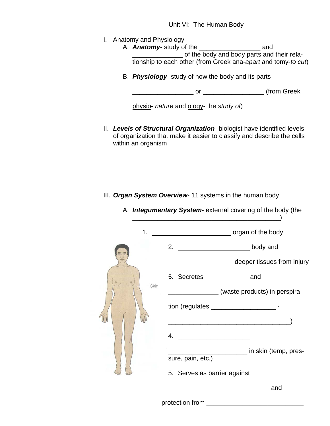|  |                                                    | Unit VI: The Human Body                 |                                                                                                                                                   |  |  |  |
|--|----------------------------------------------------|-----------------------------------------|---------------------------------------------------------------------------------------------------------------------------------------------------|--|--|--|
|  | I. Anatomy and Physiology                          |                                         | ________________________ of the body and body parts and their rela-<br>tionship to each other (from Greek ana-apart and tomy-to cut)              |  |  |  |
|  | B. Physiology- study of how the body and its parts |                                         |                                                                                                                                                   |  |  |  |
|  |                                                    |                                         |                                                                                                                                                   |  |  |  |
|  |                                                    | physio- nature and ology- the study of) |                                                                                                                                                   |  |  |  |
|  | within an organism                                 |                                         | II. Levels of Structural Organization- biologist have identified levels<br>of organization that make it easier to classify and describe the cells |  |  |  |
|  |                                                    |                                         |                                                                                                                                                   |  |  |  |
|  |                                                    |                                         |                                                                                                                                                   |  |  |  |
|  |                                                    |                                         | III. Organ System Overview-11 systems in the human body                                                                                           |  |  |  |
|  |                                                    |                                         | A. <b>Integumentary System-</b> external covering of the body (the                                                                                |  |  |  |
|  | 1.                                                 |                                         | organ of the body                                                                                                                                 |  |  |  |
|  |                                                    | 2.                                      | body and                                                                                                                                          |  |  |  |
|  |                                                    |                                         | deeper tissues from injury                                                                                                                        |  |  |  |
|  |                                                    | 5. Secretes ____________________ and    |                                                                                                                                                   |  |  |  |
|  | Skin                                               |                                         | (waste products) in perspira-                                                                                                                     |  |  |  |
|  |                                                    |                                         | tion (regulates _______________________-                                                                                                          |  |  |  |
|  |                                                    |                                         | <u> 1980 - Johann Barn, mars ann an t-Amhain an t-Amhain an t-Amhain an t-Amhain an t-Amhain an t-Amhain an t-Amh</u>                             |  |  |  |
|  |                                                    | 4.                                      |                                                                                                                                                   |  |  |  |
|  |                                                    |                                         | __________________ in skin (temp, pres-                                                                                                           |  |  |  |
|  |                                                    | sure, pain, etc.)                       |                                                                                                                                                   |  |  |  |
|  |                                                    | 5. Serves as barrier against            |                                                                                                                                                   |  |  |  |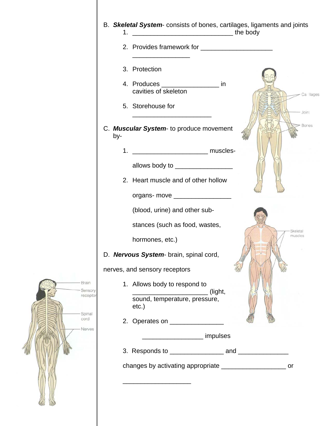|                                     | B. Skeletal System- consists of bones, cartilages, ligaments and joints |                     |
|-------------------------------------|-------------------------------------------------------------------------|---------------------|
|                                     | 2. Provides framework for                                               |                     |
|                                     | 3. Protection                                                           |                     |
|                                     | 4. Produces _____________________ in<br>cavities of skeleton            | Ca ilages           |
|                                     | 5. Storehouse for                                                       | Joint               |
|                                     | C. Muscular System- to produce movement<br>by-                          | <b>Bones</b>        |
|                                     | 1.                                                                      |                     |
|                                     | allows body to _________________                                        |                     |
|                                     | 2. Heart muscle and of other hollow                                     |                     |
|                                     | organs- move __________________<br>(blood, urine) and other sub-        |                     |
|                                     | stances (such as food, wastes,                                          |                     |
|                                     | hormones, etc.)                                                         | Skeletal<br>muscles |
|                                     | D. Nervous System- brain, spinal cord,                                  |                     |
|                                     | nerves, and sensory receptors                                           |                     |
| <b>Brain</b><br>Sensory<br>receptor | 1. Allows body to respond to<br>(light,                                 |                     |
|                                     | sound, temperature, pressure,<br>$etc.$ )                               |                     |
| Spinal<br>cord<br>Nerves            | 2. Operates on __________________                                       |                     |
|                                     | impulses                                                                |                     |
|                                     |                                                                         |                     |
|                                     | changes by activating appropriate _____________________________ or      |                     |
|                                     |                                                                         |                     |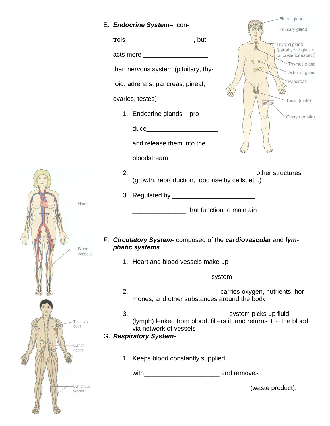|                  | E. Endocrine System- con-                                                                                             | Pineal gland                                                                                |  |  |  |
|------------------|-----------------------------------------------------------------------------------------------------------------------|---------------------------------------------------------------------------------------------|--|--|--|
|                  |                                                                                                                       | Pituitary gland                                                                             |  |  |  |
|                  |                                                                                                                       | Thyroid gland<br>(parathyroid glands                                                        |  |  |  |
|                  | acts more _____________________                                                                                       | on posterior aspect)<br>Thymus gland                                                        |  |  |  |
|                  | than nervous system (pituitary, thy-                                                                                  | Adrenal gland                                                                               |  |  |  |
|                  | roid, adrenals, pancreas, pineal,                                                                                     | Pancreas                                                                                    |  |  |  |
|                  | ovaries, testes)                                                                                                      | Testis (male)<br>8/2                                                                        |  |  |  |
|                  | 1. Endocrine glands pro-                                                                                              | Ovary (female)                                                                              |  |  |  |
|                  | duce___________________________                                                                                       |                                                                                             |  |  |  |
|                  |                                                                                                                       |                                                                                             |  |  |  |
|                  | and release them into the                                                                                             |                                                                                             |  |  |  |
|                  | bloodstream                                                                                                           |                                                                                             |  |  |  |
|                  |                                                                                                                       |                                                                                             |  |  |  |
|                  |                                                                                                                       |                                                                                             |  |  |  |
| Heart            |                                                                                                                       |                                                                                             |  |  |  |
|                  | <b>Example 12</b> that function to maintain                                                                           |                                                                                             |  |  |  |
|                  | <u> 1989 - Johann John Stein, mars an deutscher Stein und der Stein und der Stein und der Stein und der Stein und</u> |                                                                                             |  |  |  |
|                  | F. Circulatory System-composed of the cardiovascular and lym-                                                         |                                                                                             |  |  |  |
| Blood<br>vesseis | phatic systems                                                                                                        |                                                                                             |  |  |  |
|                  | 1. Heart and blood vessels make up                                                                                    |                                                                                             |  |  |  |
|                  |                                                                                                                       |                                                                                             |  |  |  |
|                  |                                                                                                                       |                                                                                             |  |  |  |
|                  |                                                                                                                       |                                                                                             |  |  |  |
| Thoracic         | 3.                                                                                                                    | system picks up fluid<br>(lymph) leaked from blood, filters it, and returns it to the blood |  |  |  |
| duct             | via network of vessels<br>G. Respiratory System-                                                                      |                                                                                             |  |  |  |
| _vmph            |                                                                                                                       |                                                                                             |  |  |  |
| nodes            | 1. Keeps blood constantly supplied                                                                                    |                                                                                             |  |  |  |
|                  |                                                                                                                       |                                                                                             |  |  |  |
| ymphatic         |                                                                                                                       |                                                                                             |  |  |  |
| vessels          |                                                                                                                       | (waste product).                                                                            |  |  |  |
|                  |                                                                                                                       |                                                                                             |  |  |  |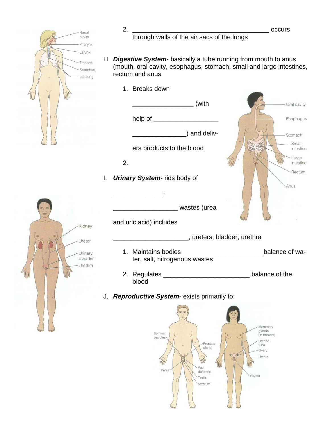